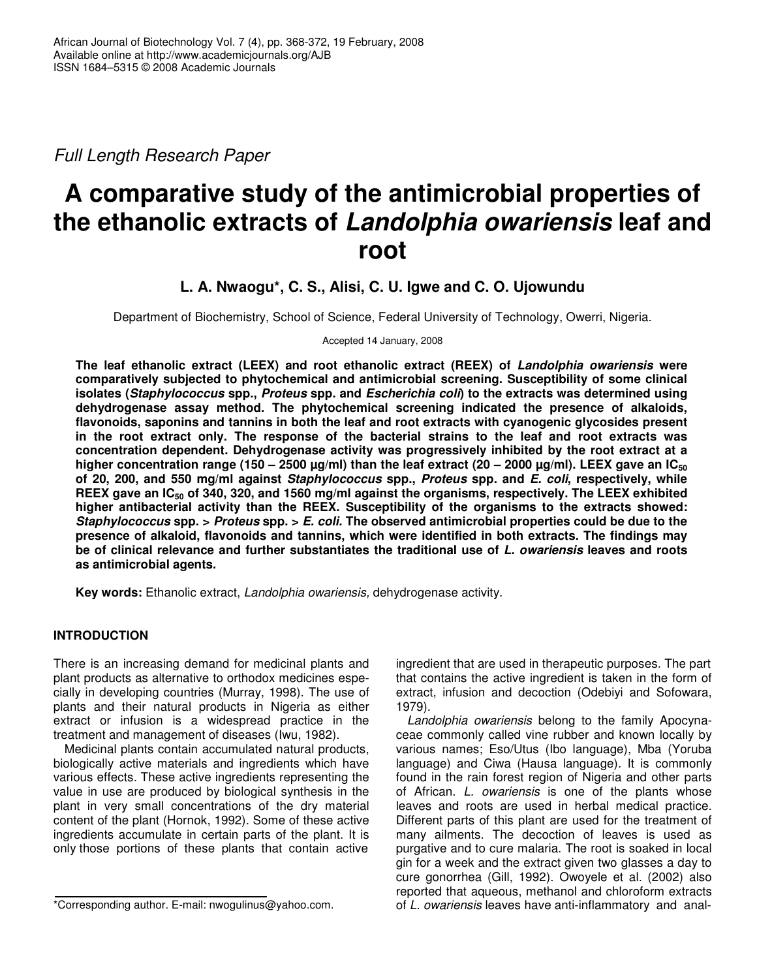*Full Length Research Paper*

# **A comparative study of the antimicrobial properties of the ethanolic extracts of** *Landolphia owariensis* **leaf and root**

**L. A. Nwaogu\*, C. S., Alisi, C. U. Igwe and C. O. Ujowundu**

Department of Biochemistry, School of Science, Federal University of Technology, Owerri, Nigeria.

Accepted 14 January, 2008

**The leaf ethanolic extract (LEEX) and root ethanolic extract (REEX) of** *Landolphia owariensis* **were comparatively subjected to phytochemical and antimicrobial screening. Susceptibility of some clinical isolates (***Staphylococcus* **spp.,** *Proteus* **spp. and** *Escherichia coli***) to the extracts was determined using dehydrogenase assay method. The phytochemical screening indicated the presence of alkaloids, flavonoids, saponins and tannins in both the leaf and root extracts with cyanogenic glycosides present in the root extract only. The response of the bacterial strains to the leaf and root extracts was concentration dependent. Dehydrogenase activity was progressively inhibited by the root extract at a** higher concentration range (150 – 2500 µg/ml) than the leaf extract (20 – 2000 µg/ml). LEEX gave an IC<sub>50</sub> **of 20, 200, and 550 mg/ml against** *Staphylococcus* **spp.,** *Proteus* **spp. and** *E. coli***, respectively, while** REEX gave an IC<sub>50</sub> of 340, 320, and 1560 mg/ml against the organisms, respectively. The LEEX exhibited **higher antibacterial activity than the REEX. Susceptibility of the organisms to the extracts showed:** *Staphylococcus* **spp. >** *Proteus* **spp. >** *E. coli.* **The observed antimicrobial properties could be due to the presence of alkaloid, flavonoids and tannins, which were identified in both extracts. The findings may be of clinical relevance and further substantiates the traditional use of** *L. owariensis* **leaves and roots as antimicrobial agents.**

**Key words:** Ethanolic extract, *Landolphia owariensis,* dehydrogenase activity.

# **INTRODUCTION**

There is an increasing demand for medicinal plants and plant products as alternative to orthodox medicines especially in developing countries (Murray, 1998). The use of plants and their natural products in Nigeria as either extract or infusion is a widespread practice in the treatment and management of diseases (Iwu, 1982).

Medicinal plants contain accumulated natural products, biologically active materials and ingredients which have various effects. These active ingredients representing the value in use are produced by biological synthesis in the plant in very small concentrations of the dry material content of the plant (Hornok, 1992). Some of these active ingredients accumulate in certain parts of the plant. It is only those portions of these plants that contain active

ingredient that are used in therapeutic purposes. The part that contains the active ingredient is taken in the form of extract, infusion and decoction (Odebiyi and Sofowara, 1979).

*Landolphia owariensis* belong to the family Apocynaceae commonly called vine rubber and known locally by various names; Eso/Utus (Ibo language), Mba (Yoruba language) and Ciwa (Hausa language). It is commonly found in the rain forest region of Nigeria and other parts of African. *L. owariensis* is one of the plants whose leaves and roots are used in herbal medical practice. Different parts of this plant are used for the treatment of many ailments. The decoction of leaves is used as purgative and to cure malaria. The root is soaked in local gin for a week and the extract given two glasses a day to cure gonorrhea (Gill, 1992). Owoyele et al*.* (2002) also reported that aqueous, methanol and chloroform extracts of *L. owariensis* leaves have anti-inflammatory and anal-

<sup>\*</sup>Corresponding author. E-mail: nwogulinus@yahoo.com.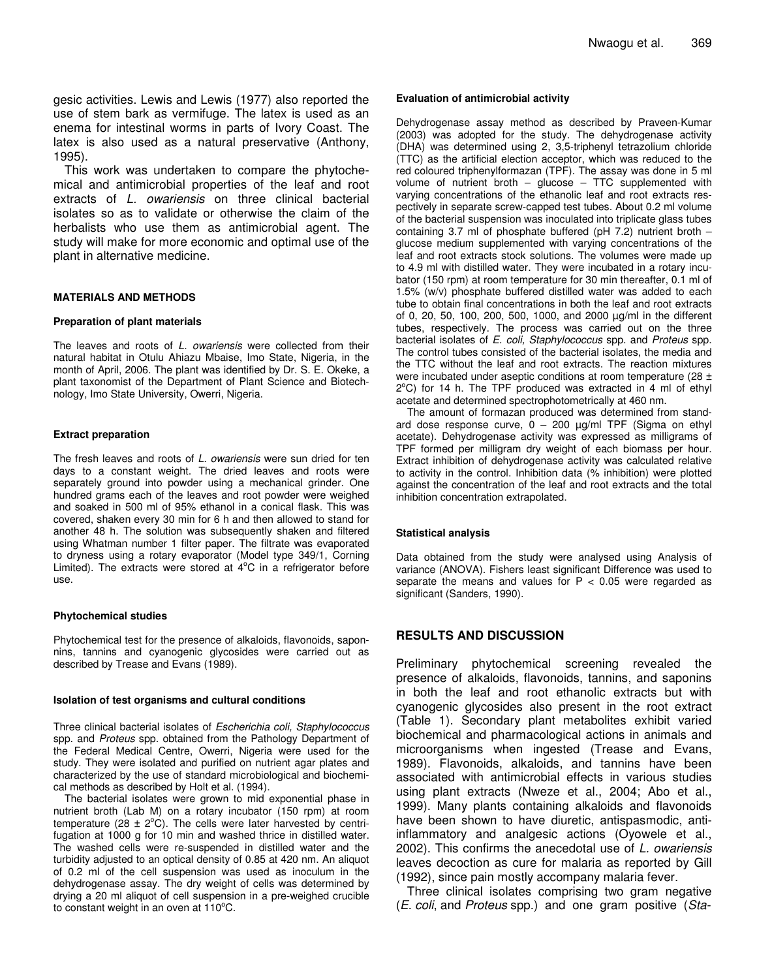gesic activities. Lewis and Lewis (1977) also reported the use of stem bark as vermifuge. The latex is used as an enema for intestinal worms in parts of Ivory Coast. The latex is also used as a natural preservative (Anthony, 1995).

This work was undertaken to compare the phytochemical and antimicrobial properties of the leaf and root extracts of *L. owariensis* on three clinical bacterial isolates so as to validate or otherwise the claim of the herbalists who use them as antimicrobial agent. The study will make for more economic and optimal use of the plant in alternative medicine.

### **MATERIALS AND METHODS**

#### **Preparation of plant materials**

The leaves and roots of *L. owariensis* were collected from their natural habitat in Otulu Ahiazu Mbaise, Imo State, Nigeria, in the month of April, 2006. The plant was identified by Dr. S. E. Okeke, a plant taxonomist of the Department of Plant Science and Biotechnology, Imo State University, Owerri, Nigeria.

#### **Extract preparation**

The fresh leaves and roots of *L. owariensis* were sun dried for ten days to a constant weight. The dried leaves and roots were separately ground into powder using a mechanical grinder. One hundred grams each of the leaves and root powder were weighed and soaked in 500 ml of 95% ethanol in a conical flask. This was covered, shaken every 30 min for 6 h and then allowed to stand for another 48 h. The solution was subsequently shaken and filtered using Whatman number 1 filter paper. The filtrate was evaporated to dryness using a rotary evaporator (Model type 349/1, Corning Limited). The extracts were stored at 4°C in a refrigerator before use.

#### **Phytochemical studies**

Phytochemical test for the presence of alkaloids, flavonoids, saponnins, tannins and cyanogenic glycosides were carried out as described by Trease and Evans (1989).

#### **Isolation of test organisms and cultural conditions**

Three clinical bacterial isolates of *Escherichia coli, Staphylococcus* spp. and *Proteus* spp. obtained from the Pathology Department of the Federal Medical Centre, Owerri, Nigeria were used for the study. They were isolated and purified on nutrient agar plates and characterized by the use of standard microbiological and biochemical methods as described by Holt et al. (1994).

The bacterial isolates were grown to mid exponential phase in nutrient broth (Lab M) on a rotary incubator (150 rpm) at room temperature (28  $\pm$  2°C). The cells were later harvested by centrifugation at 1000 g for 10 min and washed thrice in distilled water. The washed cells were re-suspended in distilled water and the turbidity adjusted to an optical density of 0.85 at 420 nm. An aliquot of 0.2 ml of the cell suspension was used as inoculum in the dehydrogenase assay. The dry weight of cells was determined by drying a 20 ml aliquot of cell suspension in a pre-weighed crucible to constant weight in an oven at  $110^{\circ}$ C.

#### **Evaluation of antimicrobial activity**

Dehydrogenase assay method as described by Praveen-Kumar (2003) was adopted for the study. The dehydrogenase activity (DHA) was determined using 2, 3,5-triphenyl tetrazolium chloride (TTC) as the artificial election acceptor, which was reduced to the red coloured triphenylformazan (TPF). The assay was done in 5 ml volume of nutrient broth – glucose – TTC supplemented with varying concentrations of the ethanolic leaf and root extracts respectively in separate screw-capped test tubes. About 0.2 ml volume of the bacterial suspension was inoculated into triplicate glass tubes containing 3.7 ml of phosphate buffered (pH 7.2) nutrient broth – glucose medium supplemented with varying concentrations of the leaf and root extracts stock solutions. The volumes were made up to 4.9 ml with distilled water. They were incubated in a rotary incubator (150 rpm) at room temperature for 30 min thereafter, 0.1 ml of 1.5% (w/v) phosphate buffered distilled water was added to each tube to obtain final concentrations in both the leaf and root extracts of 0, 20, 50, 100, 200, 500, 1000, and 2000 µg/ml in the different tubes, respectively. The process was carried out on the three bacterial isolates of *E. coli, Staphylococcus* spp. and *Proteus* spp. The control tubes consisted of the bacterial isolates, the media and the TTC without the leaf and root extracts. The reaction mixtures were incubated under aseptic conditions at room temperature (28 ± 2°C) for 14 h. The TPF produced was extracted in 4 ml of ethyl acetate and determined spectrophotometrically at 460 nm.

The amount of formazan produced was determined from standard dose response curve,  $0 - 200 \mu g/ml$  TPF (Sigma on ethyl acetate). Dehydrogenase activity was expressed as milligrams of TPF formed per milligram dry weight of each biomass per hour. Extract inhibition of dehydrogenase activity was calculated relative to activity in the control. Inhibition data (% inhibition) were plotted against the concentration of the leaf and root extracts and the total inhibition concentration extrapolated.

#### **Statistical analysis**

Data obtained from the study were analysed using Analysis of variance (ANOVA). Fishers least significant Difference was used to separate the means and values for  $P < 0.05$  were regarded as significant (Sanders, 1990).

## **RESULTS AND DISCUSSION**

Preliminary phytochemical screening revealed the presence of alkaloids, flavonoids, tannins, and saponins in both the leaf and root ethanolic extracts but with cyanogenic glycosides also present in the root extract (Table 1). Secondary plant metabolites exhibit varied biochemical and pharmacological actions in animals and microorganisms when ingested (Trease and Evans, 1989). Flavonoids, alkaloids, and tannins have been associated with antimicrobial effects in various studies using plant extracts (Nweze et al., 2004; Abo et al., 1999). Many plants containing alkaloids and flavonoids have been shown to have diuretic, antispasmodic, antiinflammatory and analgesic actions (Oyowele et al., 2002). This confirms the anecedotal use of *L. owariensis* leaves decoction as cure for malaria as reported by Gill (1992), since pain mostly accompany malaria fever.

Three clinical isolates comprising two gram negative (*E. coli*, and *Proteus* spp.) and one gram positive (*Sta-*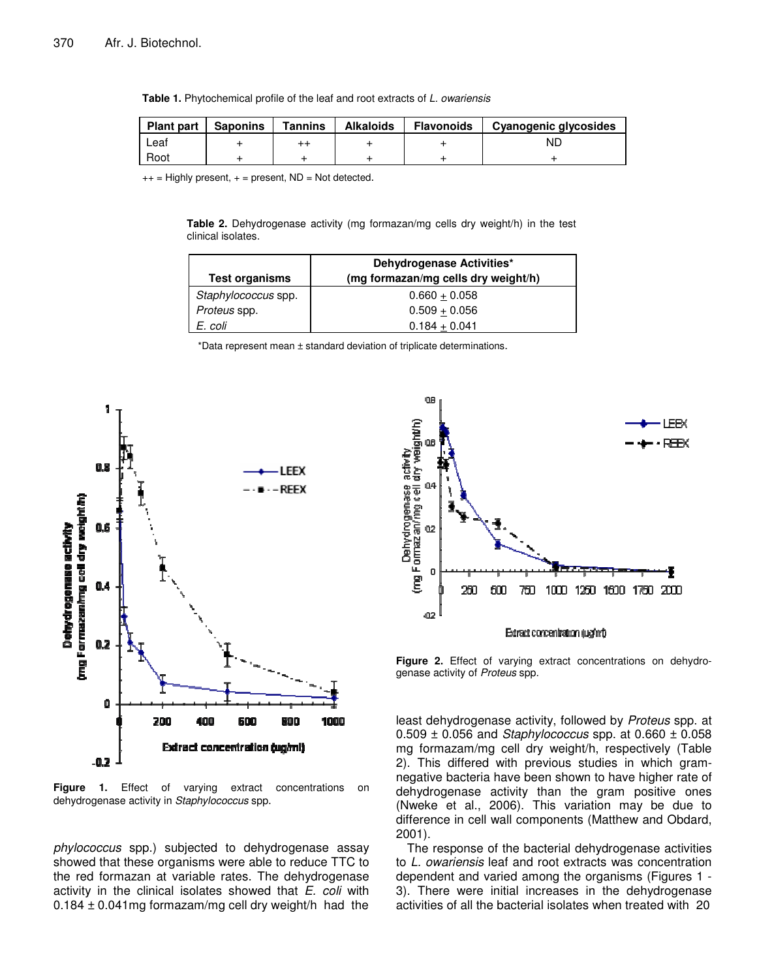|  | <b>Table 1.</b> Phytochemical profile of the leaf and root extracts of L. owariensis |  |  |  |  |  |
|--|--------------------------------------------------------------------------------------|--|--|--|--|--|
|--|--------------------------------------------------------------------------------------|--|--|--|--|--|

| <b>Plant part</b> | <b>Saponins</b> | <b>Tannins</b> | <b>Alkaloids</b> | Flavonoids | Cyanogenic glycosides |
|-------------------|-----------------|----------------|------------------|------------|-----------------------|
| ∟eaf              |                 |                |                  |            | ND                    |
| Root              |                 |                |                  |            |                       |

 $++$  = Highly present,  $+=$  present, ND = Not detected.

**Table 2.** Dehydrogenase activity (mg formazan/mg cells dry weight/h) in the test clinical isolates.

| <b>Test organisms</b> | Dehydrogenase Activities*<br>(mg formazan/mg cells dry weight/h) |  |  |  |
|-----------------------|------------------------------------------------------------------|--|--|--|
| Staphylococcus spp.   | $0.660 + 0.058$                                                  |  |  |  |
| Proteus spp.          | $0.509 + 0.056$                                                  |  |  |  |
| E. coli               | $0.184 + 0.041$                                                  |  |  |  |

\*Data represent mean ± standard deviation of triplicate determinations.



**Figure 1.** Effect of varying extract concentrations on dehydrogenase activity in *Staphylococcus* spp.

*phylococcus* spp.) subjected to dehydrogenase assay showed that these organisms were able to reduce TTC to the red formazan at variable rates. The dehydrogenase activity in the clinical isolates showed that *E. coli* with  $0.184 \pm 0.041$  mg formazam/mg cell dry weight/h had the



**Figure 2.** Effect of varying extract concentrations on dehydrogenase activity of *Proteus* spp.

least dehydrogenase activity, followed by *Proteus* spp. at 0.509 ± 0.056 and *Staphylococcus* spp. at 0.660 ± 0.058 mg formazam/mg cell dry weight/h, respectively (Table 2). This differed with previous studies in which gramnegative bacteria have been shown to have higher rate of dehydrogenase activity than the gram positive ones (Nweke et al., 2006). This variation may be due to difference in cell wall components (Matthew and Obdard, 2001).

The response of the bacterial dehydrogenase activities to *L. owariensis* leaf and root extracts was concentration dependent and varied among the organisms (Figures 1 - 3). There were initial increases in the dehydrogenase activities of all the bacterial isolates when treated with 20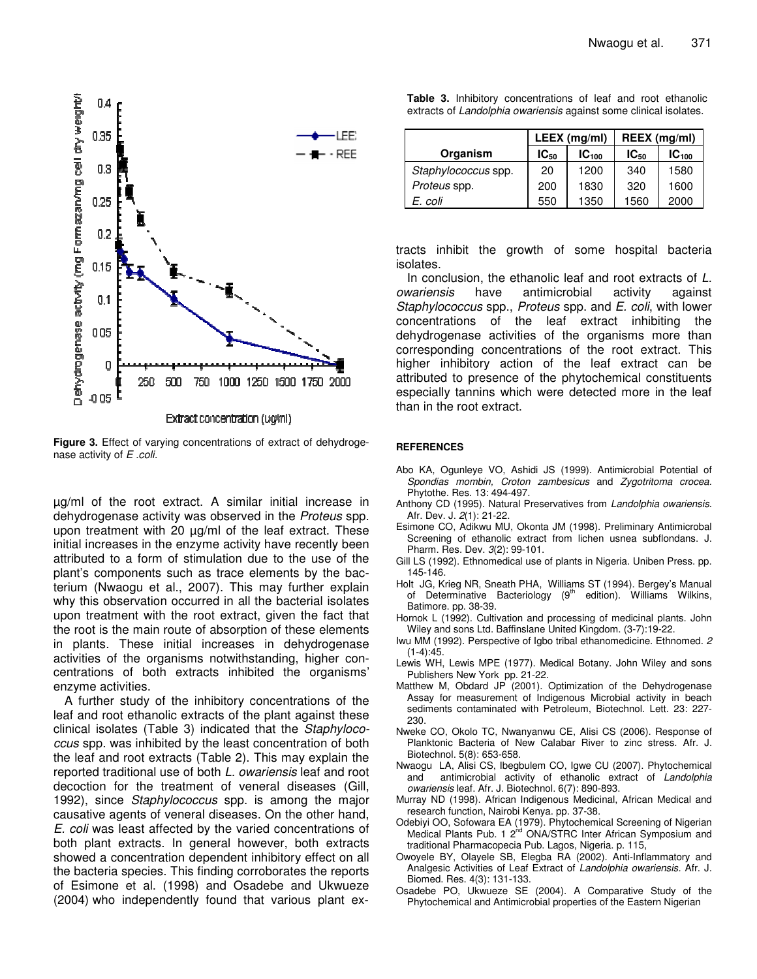

**Figure 3.** Effect of varying concentrations of extract of dehydrogenase activity of *E .coli.*

µg/ml of the root extract. A similar initial increase in dehydrogenase activity was observed in the *Proteus* spp. upon treatment with 20 µg/ml of the leaf extract. These initial increases in the enzyme activity have recently been attributed to a form of stimulation due to the use of the plant's components such as trace elements by the bacterium (Nwaogu et al., 2007). This may further explain why this observation occurred in all the bacterial isolates upon treatment with the root extract, given the fact that the root is the main route of absorption of these elements in plants. These initial increases in dehydrogenase activities of the organisms notwithstanding, higher concentrations of both extracts inhibited the organisms' enzyme activities.

A further study of the inhibitory concentrations of the leaf and root ethanolic extracts of the plant against these clinical isolates (Table 3) indicated that the *Staphylococcus* spp. was inhibited by the least concentration of both the leaf and root extracts (Table 2). This may explain the reported traditional use of both *L. owariensis* leaf and root decoction for the treatment of veneral diseases (Gill, 1992), since *Staphylococcus* spp. is among the major causative agents of veneral diseases. On the other hand, *E. coli* was least affected by the varied concentrations of both plant extracts. In general however, both extracts showed a concentration dependent inhibitory effect on all the bacteria species. This finding corroborates the reports of Esimone et al. (1998) and Osadebe and Ukwueze (2004) who independently found that various plant ex**Table 3.** Inhibitory concentrations of leaf and root ethanolic extracts of *Landolphia owariensis* against some clinical isolates.

|                     | LEEX (mg/ml) |                   | REEX (mg/ml) |            |
|---------------------|--------------|-------------------|--------------|------------|
| Organism            | $IC_{50}$    | IC <sub>100</sub> | $IC_{50}$    | $IC_{100}$ |
| Staphylococcus spp. | 20           | 1200              | 340          | 1580       |
| Proteus spp.        | 200          | 1830              | 320          | 1600       |
| E. coli             | 550          | 1350              | 1560         | 2000       |

tracts inhibit the growth of some hospital bacteria isolates.

In conclusion, the ethanolic leaf and root extracts of *L. owariensis* have antimicrobial activity against *Staphylococcus* spp., *Proteus* spp. and *E. coli*, with lower concentrations of the leaf extract inhibiting the dehydrogenase activities of the organisms more than corresponding concentrations of the root extract. This higher inhibitory action of the leaf extract can be attributed to presence of the phytochemical constituents especially tannins which were detected more in the leaf than in the root extract.

#### **REFERENCES**

- Abo KA, Ogunleye VO, Ashidi JS (1999). Antimicrobial Potential of *Spondias mombin, Croton zambesicus* and *Zygotritoma crocea.* Phytothe. Res. 13: 494-497.
- Anthony CD (1995). Natural Preservatives from *Landolphia owariensis*. Afr. Dev. J. *2*(1): 21-22.
- Esimone CO, Adikwu MU, Okonta JM (1998). Preliminary Antimicrobal Screening of ethanolic extract from lichen usnea subflondans. J. Pharm. Res. Dev. *3*(2): 99-101.
- Gill LS (1992). Ethnomedical use of plants in Nigeria. Uniben Press. pp. 145-146.
- Holt JG, Krieg NR, Sneath PHA, Williams ST (1994). Bergey's Manual of Determinative Bacteriology (9<sup>th</sup> edition). Williams Wilkins, Batimore. pp. 38-39.
- Hornok L (1992). Cultivation and processing of medicinal plants. John Wiley and sons Ltd. Baffinslane United Kingdom. (3-7):19-22.
- Iwu MM (1992). Perspective of Igbo tribal ethanomedicine. Ethnomed. *2*  $(1-4):45.$
- Lewis WH, Lewis MPE (1977). Medical Botany. John Wiley and sons Publishers New York pp. 21-22.
- Matthew M, Obdard JP (2001). Optimization of the Dehydrogenase Assay for measurement of Indigenous Microbial activity in beach sediments contaminated with Petroleum, Biotechnol. Lett. 23: 227- 230.
- Nweke CO, Okolo TC, Nwanyanwu CE, Alisi CS (2006). Response of Planktonic Bacteria of New Calabar River to zinc stress. Afr. J. Biotechnol. 5(8): 653-658.
- Nwaogu LA, Alisi CS, Ibegbulem CO, Igwe CU (2007). Phytochemical and antimicrobial activity of ethanolic extract of *Landolphia owariensis* leaf. Afr. J. Biotechnol. 6(7): 890-893.
- Murray ND (1998). African Indigenous Medicinal, African Medical and research function, Nairobi Kenya. pp. 37-38.
- Odebiyi OO, Sofowara EA (1979). Phytochemical Screening of Nigerian Medical Plants Pub. 1 2<sup>nd</sup> ONA/STRC Inter African Symposium and traditional Pharmacopecia Pub. Lagos, Nigeria. p. 115,
- Owoyele BY, Olayele SB, Elegba RA (2002). Anti-Inflammatory and Analgesic Activities of Leaf Extract of *Landolphia owariensis.* Afr. J. Biomed. Res. 4(3): 131-133.
- Osadebe PO, Ukwueze SE (2004). A Comparative Study of the Phytochemical and Antimicrobial properties of the Eastern Nigerian